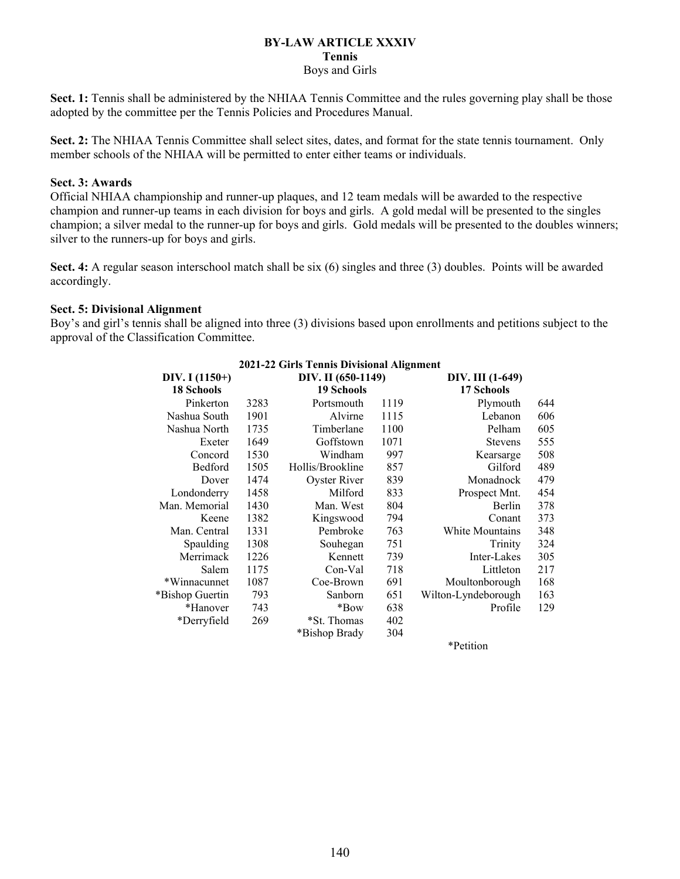#### **BY-LAW ARTICLE XXXIV Tennis** Boys and Girls

**Sect. 1:** Tennis shall be administered by the NHIAA Tennis Committee and the rules governing play shall be those adopted by the committee per the Tennis Policies and Procedures Manual.

**Sect. 2:** The NHIAA Tennis Committee shall select sites, dates, and format for the state tennis tournament. Only member schools of the NHIAA will be permitted to enter either teams or individuals.

## **Sect. 3: Awards**

Official NHIAA championship and runner-up plaques, and 12 team medals will be awarded to the respective champion and runner-up teams in each division for boys and girls. A gold medal will be presented to the singles champion; a silver medal to the runner-up for boys and girls. Gold medals will be presented to the doubles winners; silver to the runners-up for boys and girls.

**Sect. 4:** A regular season interschool match shall be six (6) singles and three (3) doubles. Points will be awarded accordingly.

## **Sect. 5: Divisional Alignment**

Boy's and girl's tennis shall be aligned into three (3) divisions based upon enrollments and petitions subject to the approval of the Classification Committee.

| 2021-22 Girls Tennis Divisional Anguinent |                    |                  |                  |                     |     |  |  |  |  |  |
|-------------------------------------------|--------------------|------------------|------------------|---------------------|-----|--|--|--|--|--|
| DIV. I $(1150+)$                          | DIV. II (650-1149) |                  | DIV. III (1-649) |                     |     |  |  |  |  |  |
| <b>18 Schools</b>                         | <b>19 Schools</b>  |                  |                  | 17 Schools          |     |  |  |  |  |  |
| Pinkerton                                 | 3283               | Portsmouth       | 1119             | Plymouth            | 644 |  |  |  |  |  |
| Nashua South                              | 1901               | Alvirne          | 1115             | Lebanon             | 606 |  |  |  |  |  |
| Nashua North                              | 1735               | Timberlane       | 1100             | Pelham              | 605 |  |  |  |  |  |
| Exeter                                    | 1649               | Goffstown        | 1071             | <b>Stevens</b>      | 555 |  |  |  |  |  |
| Concord                                   | 1530               | Windham          | 997              | Kearsarge           | 508 |  |  |  |  |  |
| Bedford                                   | 1505               | Hollis/Brookline | 857              | Gilford             | 489 |  |  |  |  |  |
| Dover                                     | 1474               | Oyster River     | 839              | Monadnock           | 479 |  |  |  |  |  |
| Londonderry                               | 1458               | Milford          | 833              | Prospect Mnt.       | 454 |  |  |  |  |  |
| Man. Memorial                             | 1430               | Man. West        | 804              | Berlin              | 378 |  |  |  |  |  |
| Keene                                     | 1382               | Kingswood        | 794              | Conant              | 373 |  |  |  |  |  |
| Man. Central                              | 1331               | Pembroke         | 763              | White Mountains     | 348 |  |  |  |  |  |
| Spaulding                                 | 1308               | Souhegan         | 751              | Trinity             | 324 |  |  |  |  |  |
| Merrimack                                 | 1226               | Kennett          | 739              | Inter-Lakes         | 305 |  |  |  |  |  |
| Salem                                     | 1175               | Con-Val          | 718              | Littleton           | 217 |  |  |  |  |  |
| *Winnacunnet                              | 1087               | Coe-Brown        | 691              | Moultonborough      | 168 |  |  |  |  |  |
| *Bishop Guertin                           | 793                | Sanborn          | 651              | Wilton-Lyndeborough | 163 |  |  |  |  |  |
| *Hanover                                  | 743                | *Bow             | 638              | Profile             | 129 |  |  |  |  |  |
| *Derryfield                               | 269                | *St. Thomas      | 402              |                     |     |  |  |  |  |  |
|                                           |                    | *Bishop Brady    | 304              |                     |     |  |  |  |  |  |
|                                           |                    |                  |                  |                     |     |  |  |  |  |  |

# **2021-22 Girls Tennis Divisional Alignment**

\*Petition